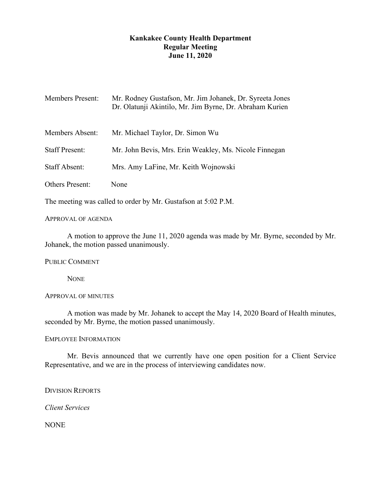# **Kankakee County Health Department Regular Meeting June 11, 2020**

| <b>Members Present:</b> | Mr. Rodney Gustafson, Mr. Jim Johanek, Dr. Syreeta Jones<br>Dr. Olatunji Akintilo, Mr. Jim Byrne, Dr. Abraham Kurien |
|-------------------------|----------------------------------------------------------------------------------------------------------------------|
| Members Absent:         | Mr. Michael Taylor, Dr. Simon Wu                                                                                     |
| <b>Staff Present:</b>   | Mr. John Bevis, Mrs. Erin Weakley, Ms. Nicole Finnegan                                                               |
| <b>Staff Absent:</b>    | Mrs. Amy LaFine, Mr. Keith Wojnowski                                                                                 |
| <b>Others Present:</b>  | None                                                                                                                 |

The meeting was called to order by Mr. Gustafson at 5:02 P.M.

# APPROVAL OF AGENDA

A motion to approve the June 11, 2020 agenda was made by Mr. Byrne, seconded by Mr. Johanek, the motion passed unanimously.

PUBLIC COMMENT

**NONE** 

APPROVAL OF MINUTES

A motion was made by Mr. Johanek to accept the May 14, 2020 Board of Health minutes, seconded by Mr. Byrne, the motion passed unanimously.

EMPLOYEE INFORMATION

Mr. Bevis announced that we currently have one open position for a Client Service Representative, and we are in the process of interviewing candidates now.

DIVISION REPORTS

*Client Services*

NONE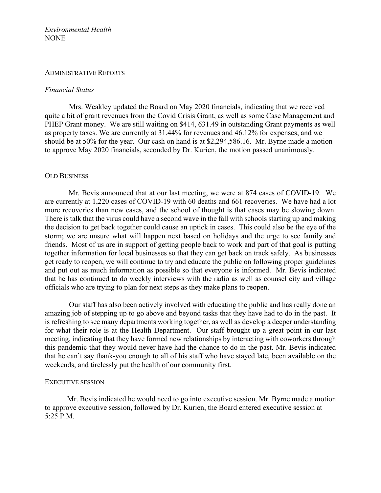# *Environmental Health*  **NONE**

#### ADMINISTRATIVE REPORTS

#### *Financial Status*

Mrs. Weakley updated the Board on May 2020 financials, indicating that we received quite a bit of grant revenues from the Covid Crisis Grant, as well as some Case Management and PHEP Grant money. We are still waiting on \$414, 631.49 in outstanding Grant payments as well as property taxes. We are currently at 31.44% for revenues and 46.12% for expenses, and we should be at 50% for the year. Our cash on hand is at \$2,294,586.16. Mr. Byrne made a motion to approve May 2020 financials, seconded by Dr. Kurien, the motion passed unanimously.

#### OLD BUSINESS

Mr. Bevis announced that at our last meeting, we were at 874 cases of COVID-19. We are currently at 1,220 cases of COVID-19 with 60 deaths and 661 recoveries. We have had a lot more recoveries than new cases, and the school of thought is that cases may be slowing down. There is talk that the virus could have a second wave in the fall with schools starting up and making the decision to get back together could cause an uptick in cases. This could also be the eye of the storm; we are unsure what will happen next based on holidays and the urge to see family and friends. Most of us are in support of getting people back to work and part of that goal is putting together information for local businesses so that they can get back on track safely. As businesses get ready to reopen, we will continue to try and educate the public on following proper guidelines and put out as much information as possible so that everyone is informed. Mr. Bevis indicated that he has continued to do weekly interviews with the radio as well as counsel city and village officials who are trying to plan for next steps as they make plans to reopen.

Our staff has also been actively involved with educating the public and has really done an amazing job of stepping up to go above and beyond tasks that they have had to do in the past. It is refreshing to see many departments working together, as well as develop a deeper understanding for what their role is at the Health Department. Our staff brought up a great point in our last meeting, indicating that they have formed new relationships by interacting with coworkers through this pandemic that they would never have had the chance to do in the past. Mr. Bevis indicated that he can't say thank-you enough to all of his staff who have stayed late, been available on the weekends, and tirelessly put the health of our community first.

# EXECUTIVE SESSION

Mr. Bevis indicated he would need to go into executive session. Mr. Byrne made a motion to approve executive session, followed by Dr. Kurien, the Board entered executive session at 5:25 P.M.